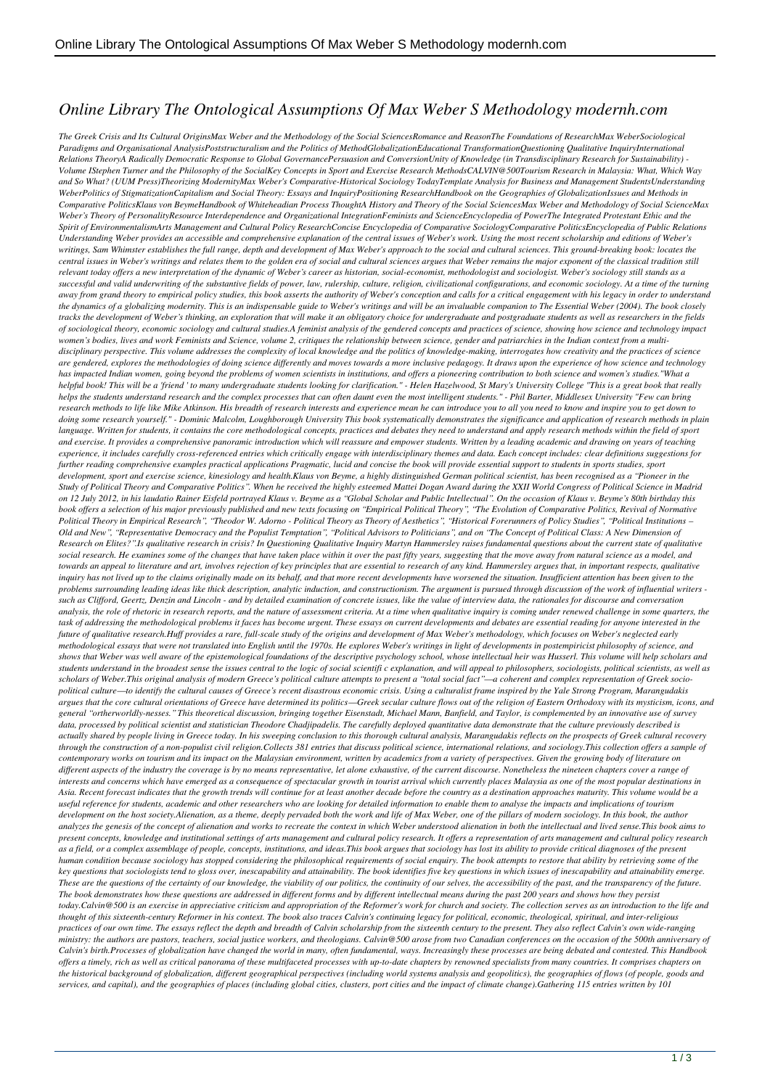## *Online Library The Ontological Assumptions Of Max Weber S Methodology modernh.com*

*The Greek Crisis and Its Cultural OriginsMax Weber and the Methodology of the Social SciencesRomance and ReasonThe Foundations of ResearchMax WeberSociological Paradigms and Organisational AnalysisPoststructuralism and the Politics of MethodGlobalizationEducational TransformationQuestioning Qualitative InquiryInternational Relations TheoryA Radically Democratic Response to Global GovernancePersuasion and ConversionUnity of Knowledge (in Transdisciplinary Research for Sustainability) - Volume IStephen Turner and the Philosophy of the SocialKey Concepts in Sport and Exercise Research MethodsCALVIN@500Tourism Research in Malaysia: What, Which Way and So What? (UUM Press)Theorizing ModernityMax Weber's Comparative-Historical Sociology TodayTemplate Analysis for Business and Management StudentsUnderstanding WeberPolitics of StigmatizationCapitalism and Social Theory: Essays and InquiryPositioning ResearchHandbook on the Geographies of GlobalizationIssues and Methods in Comparative PoliticsKlaus von BeymeHandbook of Whiteheadian Process ThoughtA History and Theory of the Social SciencesMax Weber and Methodology of Social ScienceMax Weber's Theory of PersonalityResource Interdependence and Organizational IntegrationFeminists and ScienceEncyclopedia of PowerThe Integrated Protestant Ethic and the Spirit of EnvironmentalismArts Management and Cultural Policy ResearchConcise Encyclopedia of Comparative SociologyComparative PoliticsEncyclopedia of Public Relations Understanding Weber provides an accessible and comprehensive explanation of the central issues of Weber's work. Using the most recent scholarship and editions of Weber's writings, Sam Whimster establishes the full range, depth and development of Max Weber's approach to the social and cultural sciences. This ground-breaking book: locates the central issues in Weber's writings and relates them to the golden era of social and cultural sciences argues that Weber remains the major exponent of the classical tradition still relevant today offers a new interpretation of the dynamic of Weber's career as historian, social-economist, methodologist and sociologist. Weber's sociology still stands as a successful and valid underwriting of the substantive fields of power, law, rulership, culture, religion, civilizational configurations, and economic sociology. At a time of the turning away from grand theory to empirical policy studies, this book asserts the authority of Weber's conception and calls for a critical engagement with his legacy in order to understand the dynamics of a globalizing modernity. This is an indispensable guide to Weber's writings and will be an invaluable companion to The Essential Weber (2004). The book closely tracks the development of Weber's thinking, an exploration that will make it an obligatory choice for undergraduate and postgraduate students as well as researchers in the fields of sociological theory, economic sociology and cultural studies.A feminist analysis of the gendered concepts and practices of science, showing how science and technology impact women's bodies, lives and work Feminists and Science, volume 2, critiques the relationship between science, gender and patriarchies in the Indian context from a multidisciplinary perspective. This volume addresses the complexity of local knowledge and the politics of knowledge-making, interrogates how creativity and the practices of science are gendered, explores the methodologies of doing science differently and moves towards a more inclusive pedagogy. It draws upon the experience of how science and technology has impacted Indian women, going beyond the problems of women scientists in institutions, and offers a pioneering contribution to both science and women's studies."What a helpful book! This will be a 'friend ' to many undergraduate students looking for clarification." - Helen Hazelwood, St Mary's University College "This is a great book that really helps the students understand research and the complex processes that can often daunt even the most intelligent students." - Phil Barter, Middlesex University "Few can bring research methods to life like Mike Atkinson. His breadth of research interests and experience mean he can introduce you to all you need to know and inspire you to get down to doing some research yourself." - Dominic Malcolm, Loughborough University This book systematically demonstrates the significance and application of research methods in plain language. Written for students, it contains the core methodological concepts, practices and debates they need to understand and apply research methods within the field of sport and exercise. It provides a comprehensive panoramic introduction which will reassure and empower students. Written by a leading academic and drawing on years of teaching experience, it includes carefully cross-referenced entries which critically engage with interdisciplinary themes and data. Each concept includes: clear definitions suggestions for further reading comprehensive examples practical applications Pragmatic, lucid and concise the book will provide essential support to students in sports studies, sport development, sport and exercise science, kinesiology and health.Klaus von Beyme, a highly distinguished German political scientist, has been recognised as a "Pioneer in the Study of Political Theory and Comparative Politics". When he received the highly esteemed Mattei Dogan Award during the XXII World Congress of Political Science in Madrid on 12 July 2012, in his laudatio Rainer Eisfeld portrayed Klaus v. Beyme as a "Global Scholar and Public Intellectual". On the occasion of Klaus v. Beyme's 80th birthday this book offers a selection of his major previously published and new texts focusing on "Empirical Political Theory", "The Evolution of Comparative Politics, Revival of Normative Political Theory in Empirical Research", "Theodor W. Adorno - Political Theory as Theory of Aesthetics", "Historical Forerunners of Policy Studies", "Political Institutions – Old and New", "Representative Democracy and the Populist Temptation", "Political Advisors to Politicians", and on "The Concept of Political Class: A New Dimension of Research on Elites?".Is qualitative research in crisis? In Questioning Qualitative Inquiry Martyn Hammersley raises fundamental questions about the current state of qualitative social research. He examines some of the changes that have taken place within it over the past fifty years, suggesting that the move away from natural science as a model, and towards an appeal to literature and art, involves rejection of key principles that are essential to research of any kind. Hammersley argues that, in important respects, qualitative inquiry has not lived up to the claims originally made on its behalf, and that more recent developments have worsened the situation. Insufficient attention has been given to the problems surrounding leading ideas like thick description, analytic induction, and constructionism. The argument is pursued through discussion of the work of influential writers such as Clifford, Geertz, Denzin and Lincoln - and by detailed examination of concrete issues, like the value of interview data, the rationales for discourse and conversation analysis, the role of rhetoric in research reports, and the nature of assessment criteria. At a time when qualitative inquiry is coming under renewed challenge in some quarters, the task of addressing the methodological problems it faces has become urgent. These essays on current developments and debates are essential reading for anyone interested in the future of qualitative research.Huff provides a rare, full-scale study of the origins and development of Max Weber's methodology, which focuses on Weber's neglected early methodological essays that were not translated into English until the 1970s. He explores Weber's writings in light of developments in postempiricist philosophy of science, and shows that Weber was well aware of the epistemological foundations of the descriptive psychology school, whose intellectual heir was Husserl. This volume will help scholars and students understand in the broadest sense the issues central to the logic of social scientifi c explanation, and will appeal to philosophers, sociologists, political scientists, as well as scholars of Weber.This original analysis of modern Greece's political culture attempts to present a "total social fact"—a coherent and complex representation of Greek sociopolitical culture—to identify the cultural causes of Greece's recent disastrous economic crisis. Using a culturalist frame inspired by the Yale Strong Program, Marangudakis argues that the core cultural orientations of Greece have determined its politics—Greek secular culture flows out of the religion of Eastern Orthodoxy with its mysticism, icons, and general "ortherworldly-nesses." This theoretical discussion, bringing together Eisenstadt, Michael Mann, Banfield, and Taylor, is complemented by an innovative use of survey data, processed by political scientist and statistician Theodore Chadjipadelis. The carefully deployed quantitative data demonstrate that the culture previously described is actually shared by people living in Greece today. In his sweeping conclusion to this thorough cultural analysis, Marangudakis reflects on the prospects of Greek cultural recovery through the construction of a non-populist civil religion.Collects 381 entries that discuss political science, international relations, and sociology.This collection offers a sample of contemporary works on tourism and its impact on the Malaysian environment, written by academics from a variety of perspectives. Given the growing body of literature on different aspects of the industry the coverage is by no means representative, let alone exhaustive, of the current discourse. Nonetheless the nineteen chapters cover a range of interests and concerns which have emerged as a consequence of spectacular growth in tourist arrival which currently places Malaysia as one of the most popular destinations in Asia. Recent forecast indicates that the growth trends will continue for at least another decade before the country as a destination approaches maturity. This volume would be a useful reference for students, academic and other researchers who are looking for detailed information to enable them to analyse the impacts and implications of tourism development on the host society.Alienation, as a theme, deeply pervaded both the work and life of Max Weber, one of the pillars of modern sociology. In this book, the author analyzes the genesis of the concept of alienation and works to recreate the context in which Weber understood alienation in both the intellectual and lived sense.This book aims to present concepts, knowledge and institutional settings of arts management and cultural policy research. It offers a representation of arts management and cultural policy research* as a field, or a complex assemblage of people, concepts, institutions, and ideas.This book argues that sociology has lost its ability to provide critical diagnoses of the present *human condition because sociology has stopped considering the philosophical requirements of social enquiry. The book attempts to restore that ability by retrieving some of the key questions that sociologists tend to gloss over, inescapability and attainability. The book identifies five key questions in which issues of inescapability and attainability emerge. These are the questions of the certainty of our knowledge, the viability of our politics, the continuity of our selves, the accessibility of the past, and the transparency of the future. The book demonstrates how these questions are addressed in different forms and by different intellectual means during the past 200 years and shows how they persist today.Calvin@500 is an exercise in appreciative criticism and appropriation of the Reformer's work for church and society. The collection serves as an introduction to the life and thought of this sixteenth-century Reformer in his context. The book also traces Calvin's continuing legacy for political, economic, theological, spiritual, and inter-religious practices of our own time. The essays reflect the depth and breadth of Calvin scholarship from the sixteenth century to the present. They also reflect Calvin's own wide-ranging ministry: the authors are pastors, teachers, social justice workers, and theologians. Calvin@500 arose from two Canadian conferences on the occasion of the 500th anniversary of Calvin's birth.Processes of globalization have changed the world in many, often fundamental, ways. Increasingly these processes are being debated and contested. This Handbook offers a timely, rich as well as critical panorama of these multifaceted processes with up-to-date chapters by renowned specialists from many countries. It comprises chapters on the historical background of globalization, different geographical perspectives (including world systems analysis and geopolitics), the geographies of flows (of people, goods and services, and capital), and the geographies of places (including global cities, clusters, port cities and the impact of climate change).Gathering 115 entries written by 101*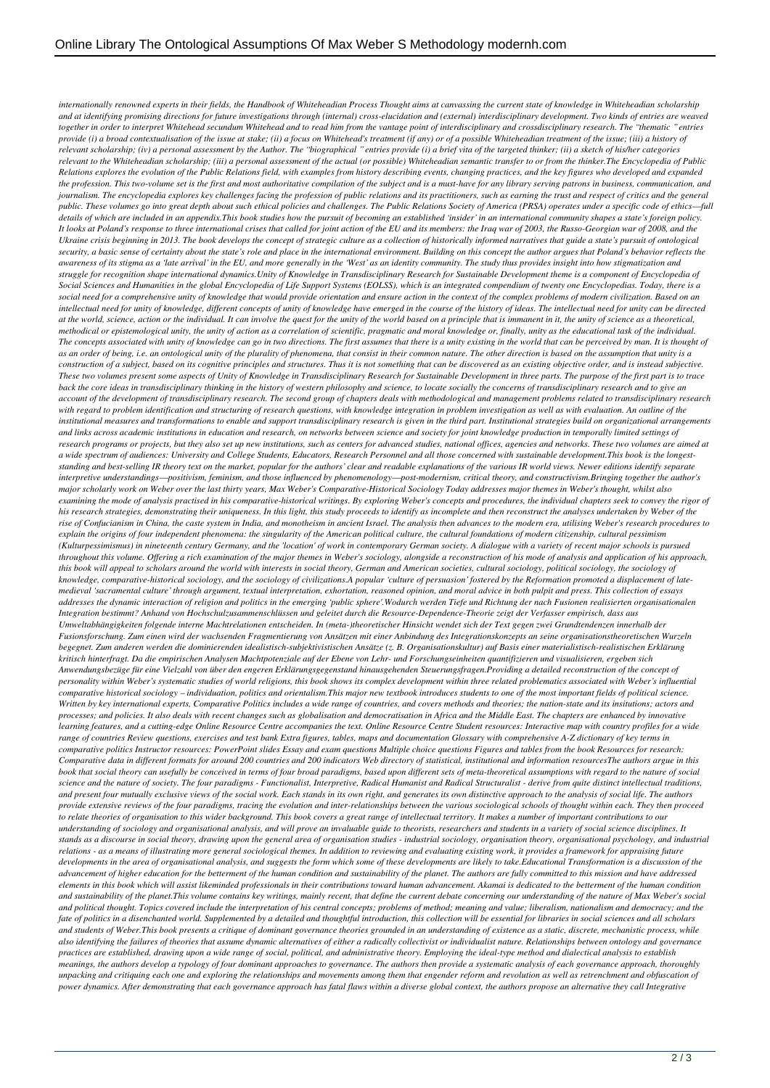*internationally renowned experts in their fields, the Handbook of Whiteheadian Process Thought aims at canvassing the current state of knowledge in Whiteheadian scholarship and at identifying promising directions for future investigations through (internal) cross-elucidation and (external) interdisciplinary development. Two kinds of entries are weaved together in order to interpret Whitehead secundum Whitehead and to read him from the vantage point of interdisciplinary and crossdisciplinary research. The "thematic " entries provide (i) a broad contextualisation of the issue at stake; (ii) a focus on Whitehead's treatment (if any) or of a possible Whiteheadian treatment of the issue; (iii) a history of relevant scholarship; (iv) a personal assessment by the Author. The "biographical " entries provide (i) a brief vita of the targeted thinker; (ii) a sketch of his/her categories relevant to the Whiteheadian scholarship; (iii) a personal assessment of the actual (or possible) Whiteheadian semantic transfer to or from the thinker.The Encyclopedia of Public Relations explores the evolution of the Public Relations field, with examples from history describing events, changing practices, and the key figures who developed and expanded the profession. This two-volume set is the first and most authoritative compilation of the subject and is a must-have for any library serving patrons in business, communication, and journalism. The encyclopedia explores key challenges facing the profession of public relations and its practitioners, such as earning the trust and respect of critics and the general public. These volumes go into great depth about such ethical policies and challenges. The Public Relations Society of America (PRSA) operates under a specific code of ethics—full details of which are included in an appendix.This book studies how the pursuit of becoming an established 'insider' in an international community shapes a state's foreign policy. It looks at Poland's response to three international crises that called for joint action of the EU and its members: the Iraq war of 2003, the Russo-Georgian war of 2008, and the Ukraine crisis beginning in 2013. The book develops the concept of strategic culture as a collection of historically informed narratives that guide a state's pursuit of ontological security, a basic sense of certainty about the state's role and place in the international environment. Building on this concept the author argues that Poland's behavior reflects the awareness of its stigma as a 'late arrival' in the EU, and more generally in the 'West' as an identity community. The study thus provides insight into how stigmatization and struggle for recognition shape international dynamics.Unity of Knowledge in Transdisciplinary Research for Sustainable Development theme is a component of Encyclopedia of Social Sciences and Humanities in the global Encyclopedia of Life Support Systems (EOLSS), which is an integrated compendium of twenty one Encyclopedias. Today, there is a social need for a comprehensive unity of knowledge that would provide orientation and ensure action in the context of the complex problems of modern civilization. Based on an intellectual need for unity of knowledge, different concepts of unity of knowledge have emerged in the course of the history of ideas. The intellectual need for unity can be directed at the world, science, action or the individual. It can involve the quest for the unity of the world based on a principle that is immanent in it, the unity of science as a theoretical, methodical or epistemological unity, the unity of action as a correlation of scientific, pragmatic and moral knowledge or, finally, unity as the educational task of the individual. The concepts associated with unity of knowledge can go in two directions. The first assumes that there is a unity existing in the world that can be perceived by man. It is thought of as an order of being, i.e. an ontological unity of the plurality of phenomena, that consist in their common nature. The other direction is based on the assumption that unity is a construction of a subject, based on its cognitive principles and structures. Thus it is not something that can be discovered as an existing objective order, and is instead subjective. These two volumes present some aspects of Unity of Knowledge in Transdisciplinary Research for Sustainable Development in three parts. The purpose of the first part is to trace back the core ideas in transdisciplinary thinking in the history of western philosophy and science, to locate socially the concerns of transdisciplinary research and to give an account of the development of transdisciplinary research. The second group of chapters deals with methodological and management problems related to transdisciplinary research with regard to problem identification and structuring of research questions, with knowledge integration in problem investigation as well as with evaluation. An outline of the institutional measures and transformations to enable and support transdisciplinary research is given in the third part. Institutional strategies build on organizational arrangements and links across academic institutions in education and research, on networks between science and society for joint knowledge production in temporally limited settings of research programs or projects, but they also set up new institutions, such as centers for advanced studies, national offices, agencies and networks. These two volumes are aimed at a wide spectrum of audiences: University and College Students, Educators, Research Personnel and all those concerned with sustainable development.This book is the longeststanding and best-selling IR theory text on the market, popular for the authors' clear and readable explanations of the various IR world views. Newer editions identify separate interpretive understandings—positivism, feminism, and those influenced by phenomenology—post-modernism, critical theory, and constructivism.Bringing together the author's major scholarly work on Weber over the last thirty years, Max Weber's Comparative-Historical Sociology Today addresses major themes in Weber's thought, whilst also examining the mode of analysis practised in his comparative-historical writings. By exploring Weber's concepts and procedures, the individual chapters seek to convey the rigor of his research strategies, demonstrating their uniqueness. In this light, this study proceeds to identify as incomplete and then reconstruct the analyses undertaken by Weber of the rise of Confucianism in China, the caste system in India, and monotheism in ancient Israel. The analysis then advances to the modern era, utilising Weber's research procedures to explain the origins of four independent phenomena: the singularity of the American political culture, the cultural foundations of modern citizenship, cultural pessimism (Kulturpessimismus) in nineteenth century Germany, and the 'location' of work in contemporary German society. A dialogue with a variety of recent major schools is pursued throughout this volume. Offering a rich examination of the major themes in Weber's sociology, alongside a reconstruction of his mode of analysis and application of his approach, this book will appeal to scholars around the world with interests in social theory, German and American societies, cultural sociology, political sociology, the sociology of knowledge, comparative-historical sociology, and the sociology of civilizations.A popular 'culture of persuasion' fostered by the Reformation promoted a displacement of latemedieval 'sacramental culture' through argument, textual interpretation, exhortation, reasoned opinion, and moral advice in both pulpit and press. This collection of essays addresses the dynamic interaction of religion and politics in the emerging 'public sphere'.Wodurch werden Tiefe und Richtung der nach Fusionen realisierten organisationalen Integration bestimmt? Anhand von Hochschulzusammenschlüssen und geleitet durch die Resource-Dependence-Theorie zeigt der Verfasser empirisch, dass aus Umweltabhängigkeiten folgende interne Machtrelationen entscheiden. In (meta-)theoretischer Hinsicht wendet sich der Text gegen zwei Grundtendenzen innerhalb der Fusionsforschung. Zum einen wird der wachsenden Fragmentierung von Ansätzen mit einer Anbindung des Integrationskonzepts an seine organisationstheoretischen Wurzeln begegnet. Zum anderen werden die dominierenden idealistisch-subjektivistischen Ansätze (z. B. Organisationskultur) auf Basis einer materialistisch-realistischen Erklärung kritisch hinterfragt. Da die empirischen Analysen Machtpotenziale auf der Ebene von Lehr- und Forschungseinheiten quantifizieren und visualisieren, ergeben sich Anwendungsbezüge für eine Vielzahl von über den engeren Erklärungsgegenstand hinausgehenden Steuerungsfragen.Providing a detailed reconstruction of the concept of personality within Weber's systematic studies of world religions, this book shows its complex development within three related problematics associated with Weber's influential comparative historical sociology – individuation, politics and orientalism.This major new textbook introduces students to one of the most important fields of political science. Written by key international experts, Comparative Politics includes a wide range of countries, and covers methods and theories; the nation-state and its insitutions; actors and processes; and policies. It also deals with recent changes such as globalisation and democratisation in Africa and the Middle East. The chapters are enhanced by innovative learning features, and a cutting-edge Online Resource Centre accompanies the text. Online Resource Centre Student resources: Interactive map with country profiles for a wide range of countries Review questions, exercises and test bank Extra figures, tables, maps and documentation Glossary with comprehensive A-Z dictionary of key terms in comparative politics Instructor resources: PowerPoint slides Essay and exam questions Multiple choice questions Figures and tables from the book Resources for research: Comparative data in different formats for around 200 countries and 200 indicators Web directory of statistical, institutional and information resourcesThe authors argue in this book that social theory can usefully be conceived in terms of four broad paradigms, based upon different sets of meta-theoretical assumptions with regard to the nature of social science and the nature of society. The four paradigms - Functionalist, Interpretive, Radical Humanist and Radical Structuralist - derive from quite distinct intellectual traditions, and present four mutually exclusive views of the social work. Each stands in its own right, and generates its own distinctive approach to the analysis of social life. The authors provide extensive reviews of the four paradigms, tracing the evolution and inter-relationships between the various sociological schools of thought within each. They then proceed* to relate theories of organisation to this wider background. This book covers a great range of intellectual territory. It makes a number of important contributions to our *understanding of sociology and organisational analysis, and will prove an invaluable guide to theorists, researchers and students in a variety of social science disciplines. It stands as a discourse in social theory, drawing upon the general area of organisation studies - industrial sociology, organisation theory, organisational psychology, and industrial relations - as a means of illustrating more general sociological themes. In addition to reviewing and evaluating existing work, it provides a framework for appraising future developments in the area of organisational analysis, and suggests the form which some of these developments are likely to take.Educational Transformation is a discussion of the advancement of higher education for the betterment of the human condition and sustainability of the planet. The authors are fully committed to this mission and have addressed elements in this book which will assist likeminded professionals in their contributions toward human advancement. Akamai is dedicated to the betterment of the human condition and sustainability of the planet.This volume contains key writings, mainly recent, that define the current debate concerning our understanding of the nature of Max Weber's social and political thought. Topics covered include the interpretation of his central concepts; problems of method; meaning and value; liberalism, nationalism and democracy; and the fate of politics in a disenchanted world. Supplemented by a detailed and thoughtful introduction, this collection will be essential for libraries in social sciences and all scholars and students of Weber.This book presents a critique of dominant governance theories grounded in an understanding of existence as a static, discrete, mechanistic process, while also identifying the failures of theories that assume dynamic alternatives of either a radically collectivist or individualist nature. Relationships between ontology and governance practices are established, drawing upon a wide range of social, political, and administrative theory. Employing the ideal-type method and dialectical analysis to establish meanings, the authors develop a typology of four dominant approaches to governance. The authors then provide a systematic analysis of each governance approach, thoroughly unpacking and critiquing each one and exploring the relationships and movements among them that engender reform and revolution as well as retrenchment and obfuscation of power dynamics. After demonstrating that each governance approach has fatal flaws within a diverse global context, the authors propose an alternative they call Integrative*